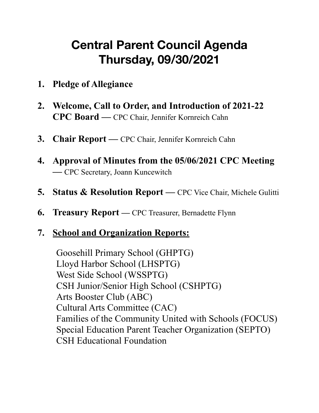# **Central Parent Council Agenda Thursday, 09/30/2021**

- **1. Pledge of Allegiance**
- **2. Welcome, Call to Order, and Introduction of 2021-22 CPC Board —** CPC Chair, Jennifer Kornreich Cahn
- **3. Chair Report** CPC Chair, Jennifer Kornreich Cahn
- **4. Approval of Minutes from the 05/06/2021 CPC Meeting —** CPC Secretary, Joann Kuncewitch
- **5. Status & Resolution Report** CPC Vice Chair, Michele Gulitti
- **6. Treasury Report** CPC Treasurer, Bernadette Flynn

### **7. School and Organization Reports:**

Goosehill Primary School (GHPTG) Lloyd Harbor School (LHSPTG) West Side School (WSSPTG) CSH Junior/Senior High School (CSHPTG) Arts Booster Club (ABC) Cultural Arts Committee (CAC) Families of the Community United with Schools (FOCUS) Special Education Parent Teacher Organization (SEPTO) CSH Educational Foundation